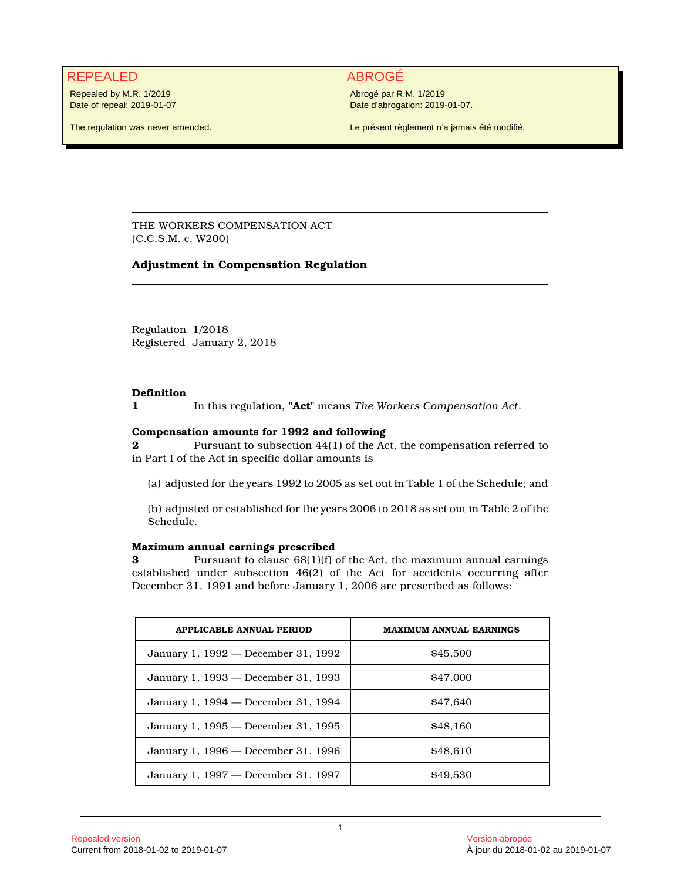# REPEALED ABROGÉ

Repealed by M.R. 1/2019 Date of repeal: 2019-01-07

The regulation was never amended.

Abrogé par R.M. 1/2019 Date d'abrogation: 2019-01-07.

Le présent règlement n'a jamais été modifié.

THE WORKERS COMPENSATION ACT (C.C.S.M. c. W200)

## **Adjustment in Compensation Regulation**

Regulation 1/2018 Registered January 2, 2018

## **Definition**

**1** In this regulation, **"Act"** means *The Workers Compensation Act*.

## **Compensation amounts for 1992 and following**

**2** Pursuant to subsection 44(1) of the Act, the compensation referred to in Part I of the Act in specific dollar amounts is

(a) adjusted for the years 1992 to 2005 as set out in Table 1 of the Schedule; and

(b) adjusted or established for the years 2006 to 2018 as set out in Table 2 of the Schedule.

## **Maximum annual earnings prescribed**

**3** Pursuant to clause  $68(1)(f)$  of the Act, the maximum annual earnings established under subsection 46(2) of the Act for accidents occurring after December 31, 1991 and before January 1, 2006 are prescribed as follows:

| <b>APPLICABLE ANNUAL PERIOD</b>     | <b>MAXIMUM ANNUAL EARNINGS</b> |
|-------------------------------------|--------------------------------|
| January 1, 1992 — December 31, 1992 | \$45,500                       |
| January 1, 1993 — December 31, 1993 | \$47,000                       |
| January 1, 1994 — December 31, 1994 | \$47.640                       |
| January 1, 1995 — December 31, 1995 | \$48,160                       |
| January 1, 1996 — December 31, 1996 | \$48.610                       |
| January 1, 1997 — December 31, 1997 | \$49.530                       |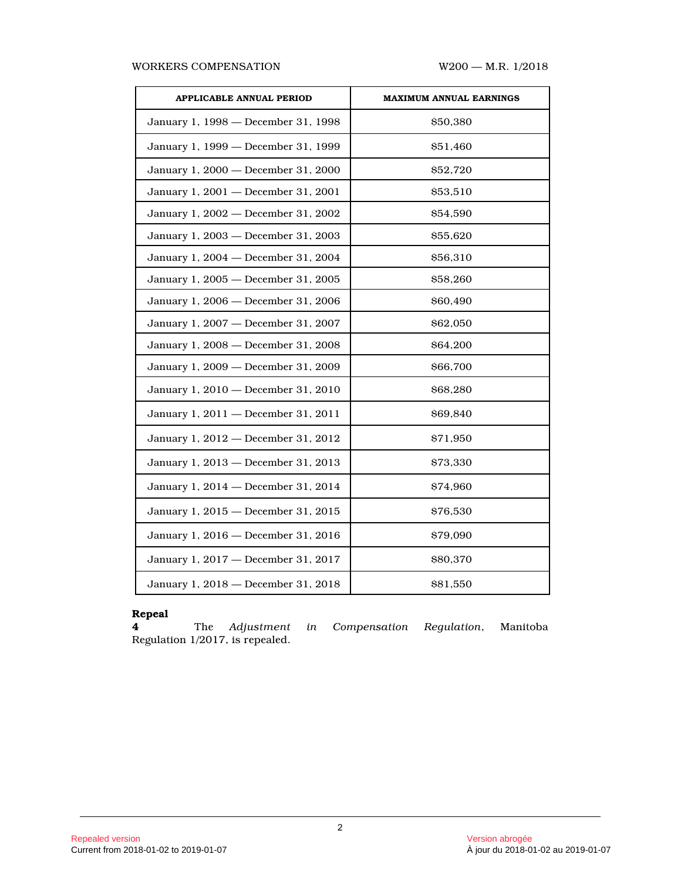### WORKERS COMPENSATION W200 - M.R. 1/2018

| <b>APPLICABLE ANNUAL PERIOD</b>     | <b>MAXIMUM ANNUAL EARNINGS</b> |  |  |  |  |  |
|-------------------------------------|--------------------------------|--|--|--|--|--|
| January 1, 1998 - December 31, 1998 | \$50,380                       |  |  |  |  |  |
| January 1, 1999 - December 31, 1999 | \$51,460                       |  |  |  |  |  |
| January 1, 2000 - December 31, 2000 | \$52,720                       |  |  |  |  |  |
| January 1, 2001 - December 31, 2001 | \$53,510                       |  |  |  |  |  |
| January 1, 2002 - December 31, 2002 | \$54,590                       |  |  |  |  |  |
| January 1, 2003 - December 31, 2003 | \$55,620                       |  |  |  |  |  |
| January 1, 2004 - December 31, 2004 | \$56,310                       |  |  |  |  |  |
| January 1, 2005 - December 31, 2005 | \$58,260                       |  |  |  |  |  |
| January 1, 2006 - December 31, 2006 | \$60,490                       |  |  |  |  |  |
| January 1, 2007 - December 31, 2007 | \$62,050                       |  |  |  |  |  |
| January 1, 2008 - December 31, 2008 | \$64,200                       |  |  |  |  |  |
| January 1, 2009 - December 31, 2009 | \$66,700                       |  |  |  |  |  |
| January 1, 2010 - December 31, 2010 | \$68,280                       |  |  |  |  |  |
| January 1, 2011 - December 31, 2011 | \$69,840                       |  |  |  |  |  |
| January 1, 2012 - December 31, 2012 | \$71,950                       |  |  |  |  |  |
| January 1, 2013 - December 31, 2013 | \$73,330                       |  |  |  |  |  |
| January 1, 2014 - December 31, 2014 | \$74,960                       |  |  |  |  |  |
| January 1, 2015 - December 31, 2015 | \$76,530                       |  |  |  |  |  |
| January 1, 2016 - December 31, 2016 | \$79,090                       |  |  |  |  |  |
| January 1, 2017 - December 31, 2017 | \$80,370                       |  |  |  |  |  |
| January 1, 2018 - December 31, 2018 | \$81,550                       |  |  |  |  |  |

## **Repeal**

**4** The *Adjustment in Compensation Regulation*, Manitoba **4** The *Adjustment* Regulation 1/2017, is repealed.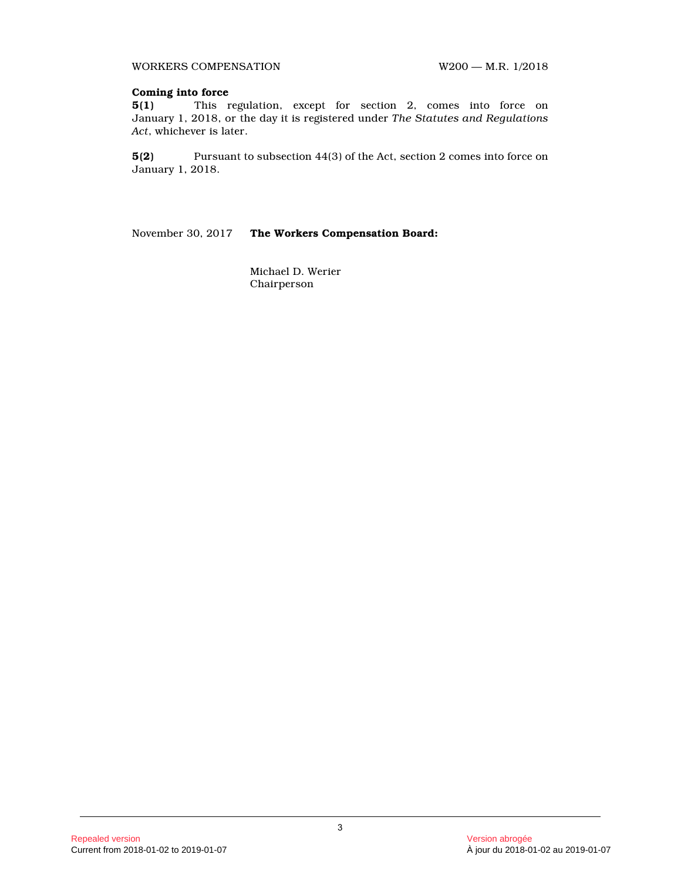WORKERS COMPENSATION W200 - M.R. 1/2018

#### **Coming into force**

**5(1)** This regulation, except for section 2, comes into force on January 1, 2018, or the day it is registered under *The Statutes and Regulations Act*, whichever is later.

**5(2)** Pursuant to subsection 44(3) of the Act, section 2 comes into force on January 1, 2018.

November 30, 2017 **The Workers Compensation Board:**

Michael D. Werier Chairperson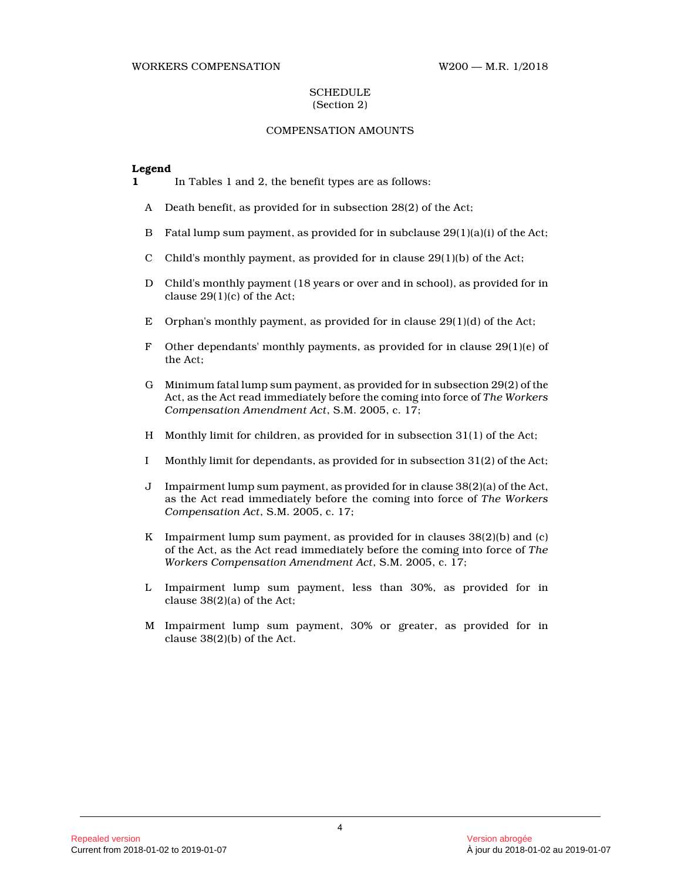#### WORKERS COMPENSATION W200 — M.R. 1/2018

#### **SCHEDULE** (Section 2)

## COMPENSATION AMOUNTS

#### **Legend**

**1** In Tables 1 and 2, the benefit types are as follows:

- A Death benefit, as provided for in subsection 28(2) of the Act;
- B Fatal lump sum payment, as provided for in subclause 29(1)(a)(i) of the Act;
- C Child's monthly payment, as provided for in clause  $29(1)(b)$  of the Act;
- D Child's monthly payment (18 years or over and in school), as provided for in clause 29(1)(c) of the Act;
- E Orphan's monthly payment, as provided for in clause 29(1)(d) of the Act;
- F Other dependants' monthly payments, as provided for in clause  $29(1)(e)$  of the Act;
- G Minimum fatal lump sum payment, as provided for in subsection 29(2) of the Act, as the Act read immediately before the coming into force of *The Workers Compensation Amendment Act*, S.M. 2005, c. 17;
- H Monthly limit for children, as provided for in subsection 31(1) of the Act;
- I Monthly limit for dependants, as provided for in subsection 31(2) of the Act;
- J Impairment lump sum payment, as provided for in clause 38(2)(a) of the Act, as the Act read immediately before the coming into force of *The Workers Compensation Act*, S.M. 2005, c. 17;
- K Impairment lump sum payment, as provided for in clauses  $38(2)(b)$  and (c) of the Act, as the Act read immediately before the coming into force of *The Workers Compensation Amendment Act*, S.M. 2005, c. 17;
- L Impairment lump sum payment, less than 30%, as provided for in clause 38(2)(a) of the Act;
- M Impairment lump sum payment, 30% or greater, as provided for in clause 38(2)(b) of the Act.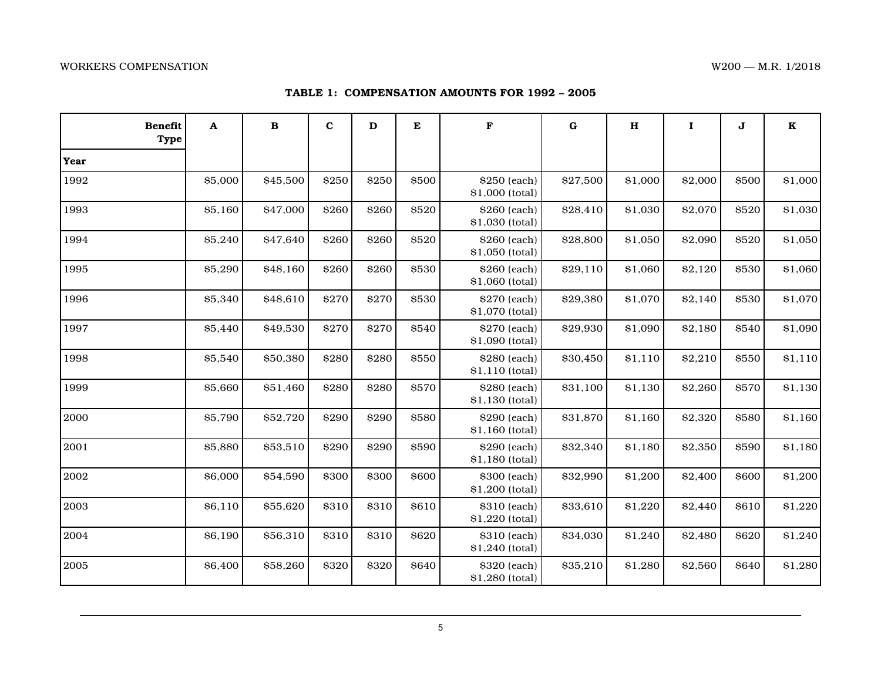## **TABLE 1: COMPENSATION AMOUNTS FOR 1992 – 2005**

| <b>Benefit</b><br><b>Type</b> | A       | $\bf{B}$ | $\mathbf{C}$ | $\mathbf D$ | ${\bf E}$ | $\mathbf F$                     | $\bf G$  |         | $\mathbf I$ | J     | $\bf K$ |
|-------------------------------|---------|----------|--------------|-------------|-----------|---------------------------------|----------|---------|-------------|-------|---------|
| Year                          |         |          |              |             |           |                                 |          |         |             |       |         |
| 1992                          | \$5,000 | \$45,500 | \$250        | \$250       | \$500     | \$250 (each)<br>\$1,000 (total) | \$27,500 | \$1,000 | \$2,000     | \$500 | \$1,000 |
| 1993                          | \$5,160 | \$47,000 | \$260        | \$260       | \$520     | \$260 (each)<br>\$1,030 (total) | \$28,410 | \$1,030 | \$2,070     | \$520 | \$1,030 |
| 1994                          | \$5,240 | \$47,640 | \$260        | \$260       | \$520     | \$260 (each)<br>\$1,050 (total) | \$28,800 | \$1,050 | \$2,090     | \$520 | \$1,050 |
| 1995                          | \$5,290 | \$48,160 | \$260        | \$260       | \$530     | \$260 (each)<br>\$1,060 (total) | \$29,110 | \$1,060 | \$2,120     | \$530 | \$1,060 |
| 1996                          | \$5,340 | \$48,610 | \$270        | \$270       | \$530     | \$270 (each)<br>\$1,070 (total) | \$29,380 | \$1,070 | \$2,140     | \$530 | \$1,070 |
| 1997                          | \$5,440 | \$49,530 | \$270        | \$270       | \$540     | \$270 (each)<br>\$1,090 (total) | \$29,930 | \$1,090 | \$2,180     | \$540 | \$1,090 |
| 1998                          | \$5,540 | \$50,380 | \$280        | \$280       | \$550     | \$280 (each)<br>\$1,110 (total) | \$30,450 | \$1,110 | \$2,210     | \$550 | \$1,110 |
| 1999                          | \$5,660 | \$51,460 | \$280        | \$280       | \$570     | \$280 (each)<br>\$1,130 (total) | \$31,100 | \$1,130 | \$2,260     | \$570 | \$1,130 |
| 2000                          | \$5,790 | \$52,720 | \$290        | \$290       | \$580     | \$290 (each)<br>\$1,160 (total) | \$31,870 | \$1,160 | \$2,320     | \$580 | \$1,160 |
| 2001                          | \$5,880 | \$53,510 | \$290        | \$290       | \$590     | \$290 (each)<br>\$1,180 (total) | \$32,340 | \$1,180 | \$2,350     | \$590 | \$1,180 |
| 2002                          | \$6,000 | \$54,590 | \$300        | \$300       | \$600     | \$300 (each)<br>\$1,200 (total) | \$32,990 | \$1,200 | \$2,400     | \$600 | \$1,200 |
| 2003                          | \$6,110 | \$55,620 | \$310        | \$310       | \$610     | \$310 (each)<br>\$1,220 (total) | \$33,610 | \$1,220 | \$2,440     | \$610 | \$1,220 |
| 2004                          | \$6,190 | \$56,310 | \$310        | \$310       | \$620     | \$310 (each)<br>\$1,240 (total) | \$34,030 | \$1,240 | \$2,480     | \$620 | \$1,240 |
| 2005                          | \$6,400 | \$58,260 | \$320        | \$320       | \$640     | \$320 (each)<br>\$1,280 (total) | \$35,210 | \$1,280 | \$2,560     | \$640 | \$1,280 |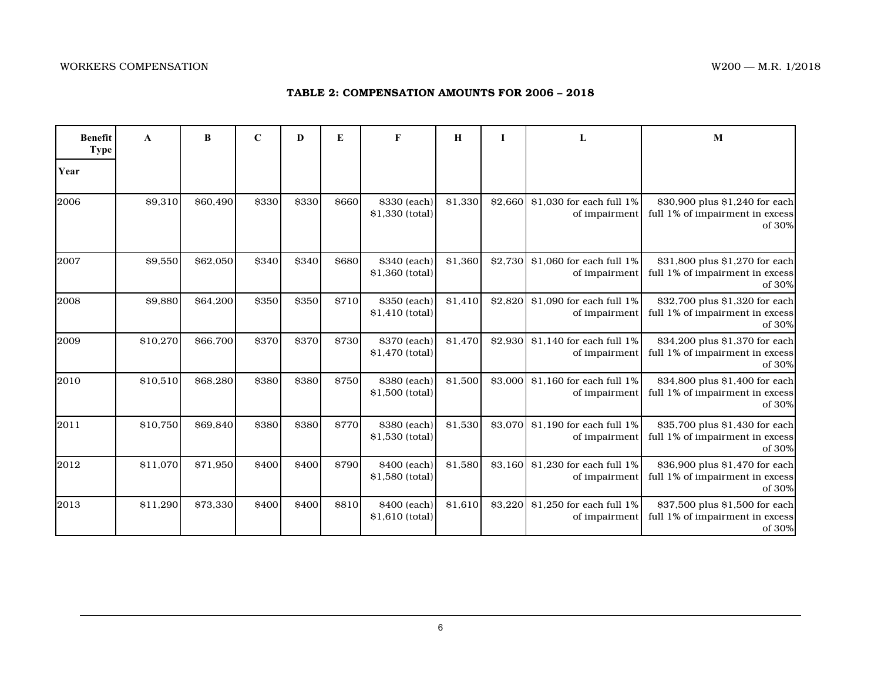## **TABLE 2: COMPENSATION AMOUNTS FOR 2006 – 2018**

| <b>Benefit</b><br><b>Type</b> | A        | B        | $\mathbf C$ | D     | E            | F                               | $\mathbf H$ | L       | L                                                 | M                                                                           |
|-------------------------------|----------|----------|-------------|-------|--------------|---------------------------------|-------------|---------|---------------------------------------------------|-----------------------------------------------------------------------------|
| Year                          |          |          |             |       |              |                                 |             |         |                                                   |                                                                             |
| 2006                          | \$9,310  | \$60,490 | \$330       | \$330 | <b>S660</b>  | \$330 (each)<br>\$1,330 (total) | \$1,330     | \$2,660 | \$1,030 for each full 1%<br>of impairment         | \$30,900 plus \$1,240 for each<br>full 1% of impairment in excess<br>of 30% |
| 2007                          | \$9,550  | \$62,050 | \$340       | \$340 | \$680        | \$340 (each)<br>\$1,360 (total) | \$1,360     | \$2,730 | \$1,060 for each full 1%<br>of impairment         | \$31,800 plus \$1,270 for each<br>full 1% of impairment in excess<br>of 30% |
| 2008                          | \$9,880  | \$64,200 | \$350       | \$350 | <b>\$710</b> | \$350 (each)<br>\$1,410 (total) | \$1,410     | \$2,820 | \$1,090 for each full 1%<br>of impairment         | \$32,700 plus \$1,320 for each<br>full 1% of impairment in excess<br>of 30% |
| 2009                          | \$10,270 | \$66,700 | \$370       | \$370 | <b>\$730</b> | \$370 (each)<br>\$1,470 (total) | \$1,470     |         | \$2,930 \$1,140 for each full 1%<br>of impairment | \$34,200 plus \$1,370 for each<br>full 1% of impairment in excess<br>of 30% |
| 2010                          | \$10,510 | \$68,280 | \$380       | \$380 | \$750        | \$380 (each)<br>\$1,500 (total) | \$1,500     | \$3,000 | \$1,160 for each full 1%<br>of impairment         | \$34,800 plus \$1,400 for each<br>full 1% of impairment in excess<br>of 30% |
| 2011                          | \$10,750 | \$69.840 | \$380       | \$380 | <b>\$770</b> | \$380 (each)<br>\$1,530 (total) | \$1,530     | \$3,070 | \$1.190 for each full 1%<br>of impairment         | \$35,700 plus \$1,430 for each<br>full 1% of impairment in excess<br>of 30% |
| 2012                          | \$11,070 | \$71,950 | \$400       | \$400 | <b>\$790</b> | \$400 (each)<br>\$1,580 (total) | \$1,580     | \$3,160 | \$1,230 for each full 1%<br>of impairment         | \$36,900 plus \$1,470 for each<br>full 1% of impairment in excess<br>of 30% |
| 2013                          | \$11,290 | \$73,330 | \$400       | \$400 | \$810        | \$400 (each)<br>\$1,610 (total) | \$1,610     | \$3,220 | $$1,250$ for each full $1\%$<br>of impairment     | \$37,500 plus \$1,500 for each<br>full 1% of impairment in excess<br>of 30% |